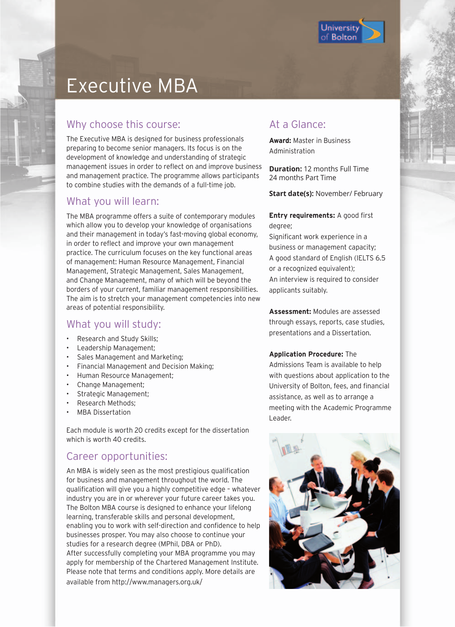

# Executive MBA

## Why choose this course:

The Executive MBA is designed for business professionals preparing to become senior managers. Its focus is on the development of knowledge and understanding of strategic management issues in order to reflect on and improve business and management practice. The programme allows participants to combine studies with the demands of a full-time job.

### What you will learn:

The MBA programme offers a suite of contemporary modules which allow you to develop your knowledge of organisations and their management in today's fast-moving global economy, in order to reflect and improve your own management practice. The curriculum focuses on the key functional areas of management: Human Resource Management, Financial Management, Strategic Management, Sales Management, and Change Management, many of which will be beyond the borders of your current, familiar management responsibilities. The aim is to stretch your management competencies into new areas of potential responsibility.

### What you will study:

- Research and Study Skills;
- Leadership Management;
- Sales Management and Marketing;
- Financial Management and Decision Making;
- Human Resource Management;
- Change Management;
- Strategic Management;
- Research Methods;
- MBA Dissertation

Each module is worth 20 credits except for the dissertation which is worth 40 credits.

## Career opportunities:

An MBA is widely seen as the most prestigious qualification for business and management throughout the world. The qualification will give you a highly competitive edge – whatever industry you are in or wherever your future career takes you. The Bolton MBA course is designed to enhance your lifelong learning, transferable skills and personal development, enabling you to work with self-direction and confidence to help businesses prosper. You may also choose to continue your studies for a research degree (MPhil, DBA or PhD). After successfully completing your MBA programme you may apply for membership of the Chartered Management Institute. Please note that terms and conditions apply. More details are available from http://www.managers.org.uk/

## At a Glance:

**Award:** Master in Business Administration

**Duration:** 12 months Full Time 24 months Part Time

**Start date(s): November/ February** 

#### **Entry requirements:** A good first degree;

Significant work experience in a business or management capacity; A good standard of English (IELTS 6.5 or a recognized equivalent); An interview is required to consider applicants suitably.

**Assessment:** Modules are assessed through essays, reports, case studies, presentations and a Dissertation.

#### **Application Procedure:** The

Admissions Team is available to help with questions about application to the University of Bolton, fees, and financial assistance, as well as to arrange a meeting with the Academic Programme Leader.